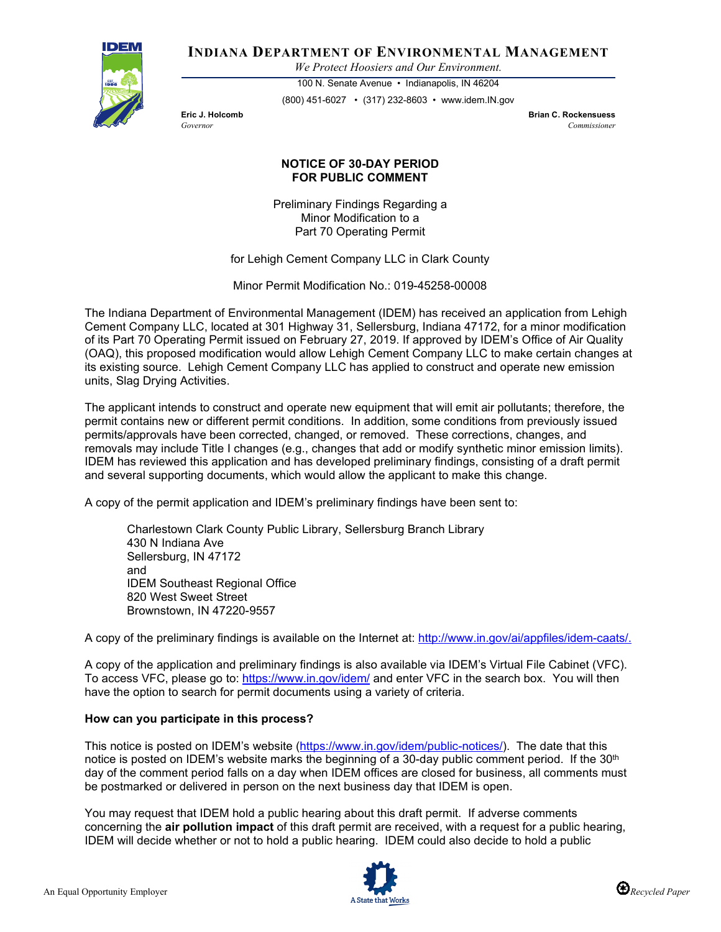

**INDIANA DEPARTMENT OF ENVIRONMENTAL MANAGEMENT**

*We Protect Hoosiers and Our Environment.*

100 N. Senate Avenue • Indianapolis, IN 46204 (800) 451-6027 • (317) 232-8603 • www.idem.IN.gov

**Eric J. Holcomb Brian C. Rockensuess** *Governor Commissioner* 

## **NOTICE OF 30-DAY PERIOD FOR PUBLIC COMMENT**

Preliminary Findings Regarding a Minor Modification to a Part 70 Operating Permit

for Lehigh Cement Company LLC in Clark County

Minor Permit Modification No.: 019-45258-00008

The Indiana Department of Environmental Management (IDEM) has received an application from Lehigh Cement Company LLC, located at 301 Highway 31, Sellersburg, Indiana 47172, for a minor modification of its Part 70 Operating Permit issued on February 27, 2019. If approved by IDEM's Office of Air Quality (OAQ), this proposed modification would allow Lehigh Cement Company LLC to make certain changes at its existing source. Lehigh Cement Company LLC has applied to construct and operate new emission units, Slag Drying Activities.

The applicant intends to construct and operate new equipment that will emit air pollutants; therefore, the permit contains new or different permit conditions. In addition, some conditions from previously issued permits/approvals have been corrected, changed, or removed. These corrections, changes, and removals may include Title I changes (e.g., changes that add or modify synthetic minor emission limits). IDEM has reviewed this application and has developed preliminary findings, consisting of a draft permit and several supporting documents, which would allow the applicant to make this change.

A copy of the permit application and IDEM's preliminary findings have been sent to:

Charlestown Clark County Public Library, Sellersburg Branch Library 430 N Indiana Ave Sellersburg, IN 47172 and IDEM Southeast Regional Office 820 West Sweet Street Brownstown, IN 47220-9557

A copy of the preliminary findings is available on the Internet at: [http://www.in.gov/ai/appfiles/idem-caats/.](http://www.in.gov/ai/appfiles/idem-caats/)

A copy of the application and preliminary findings is also available via IDEM's Virtual File Cabinet (VFC). To access VFC, please go to:<https://www.in.gov/idem/> and enter VFC in the search box. You will then have the option to search for permit documents using a variety of criteria.

## **How can you participate in this process?**

This notice is posted on IDEM's website [\(https://www.in.gov/idem/public-notices/\)](https://www.in.gov/idem/public-notices/). The date that this notice is posted on IDEM's website marks the beginning of a 30-day public comment period. If the 30<sup>th</sup> day of the comment period falls on a day when IDEM offices are closed for business, all comments must be postmarked or delivered in person on the next business day that IDEM is open.

You may request that IDEM hold a public hearing about this draft permit. If adverse comments concerning the **air pollution impact** of this draft permit are received, with a request for a public hearing, IDEM will decide whether or not to hold a public hearing. IDEM could also decide to hold a public